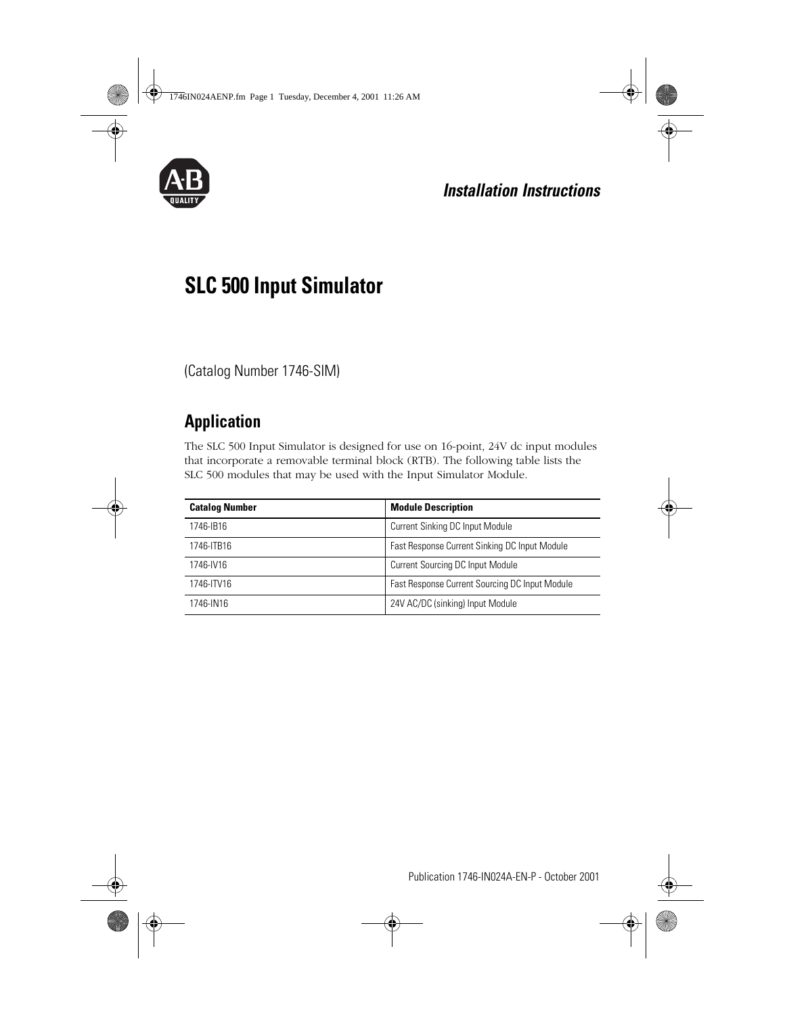

## **Installation Instructions**

# **SLC 500 Input Simulator**

(Catalog Number 1746-SIM)

## **Application**

The SLC 500 Input Simulator is designed for use on 16-point, 24V dc input modules that incorporate a removable terminal block (RTB). The following table lists the SLC 500 modules that may be used with the Input Simulator Module.

| <b>Catalog Number</b> | <b>Module Description</b>                      |  |
|-----------------------|------------------------------------------------|--|
| 1746-IB16             | Current Sinking DC Input Module                |  |
| 1746-ITB16            | Fast Response Current Sinking DC Input Module  |  |
| 1746-IV16             | Current Sourcing DC Input Module               |  |
| 1746-ITV16            | Fast Response Current Sourcing DC Input Module |  |
| 1746-IN16             | 24V AC/DC (sinking) Input Module               |  |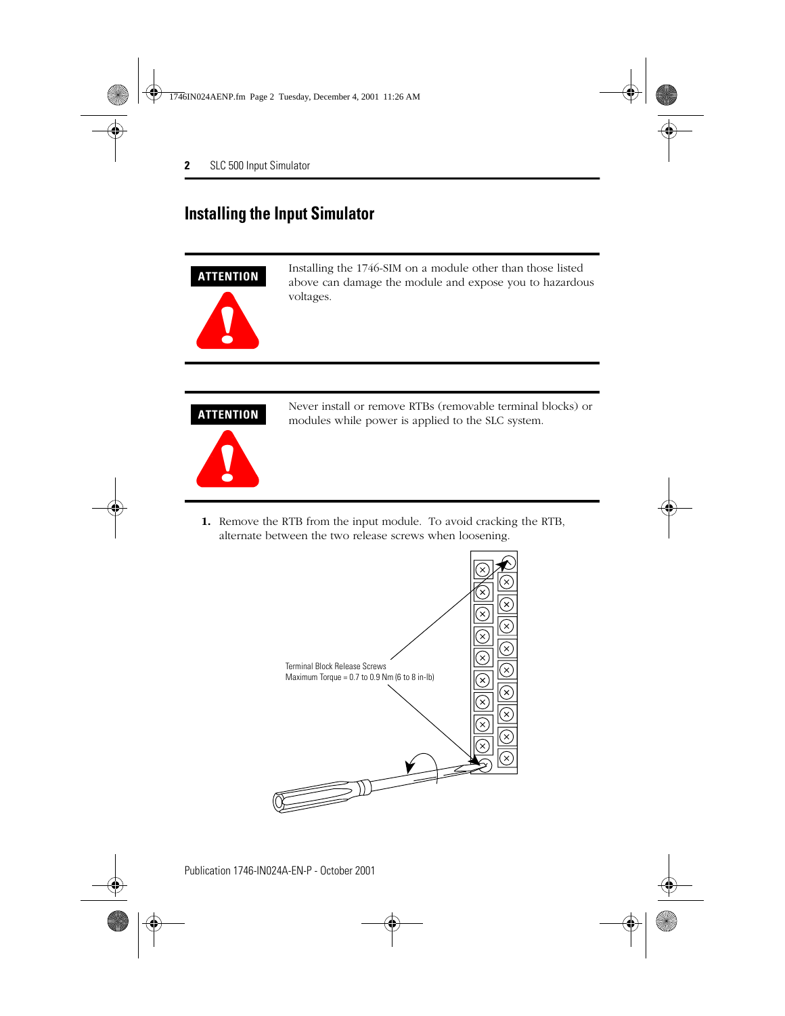#### **Installing the Input Simulator**



Installing the 1746-SIM on a module other than those listed above can damage the module and expose you to hazardous voltages.



Never install or remove RTBs (removable terminal blocks) or modules while power is applied to the SLC system.

**1.** Remove the RTB from the input module. To avoid cracking the RTB, alternate between the two release screws when loosening.

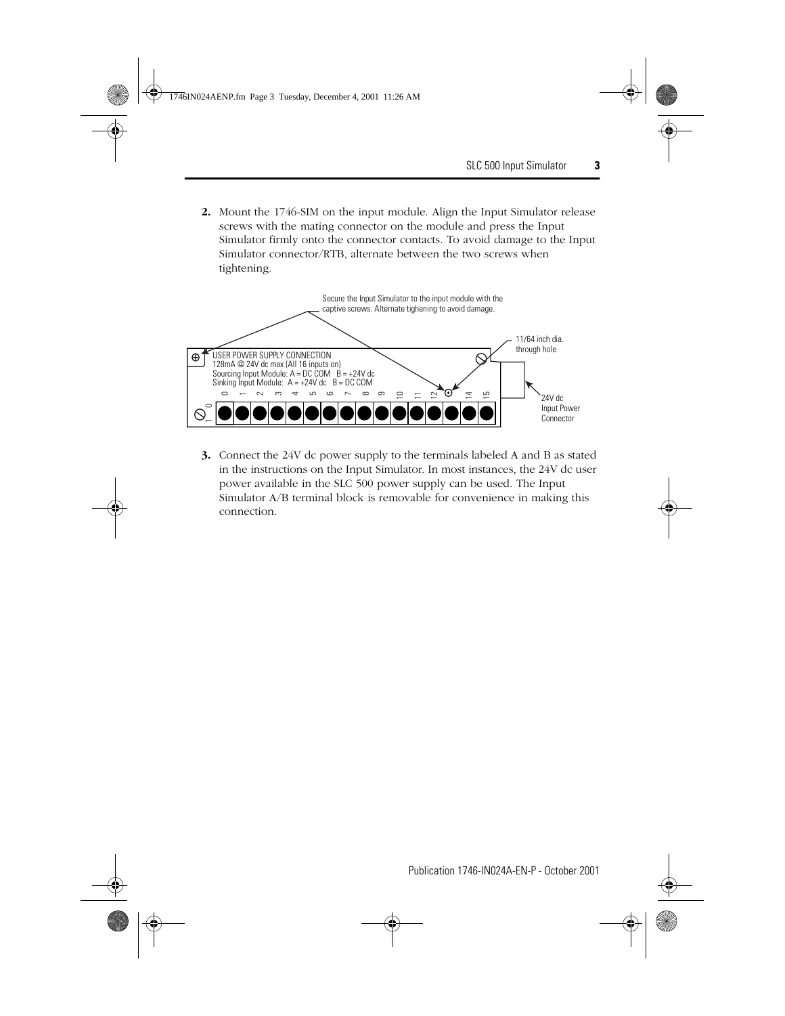**2.** Mount the 1746-SIM on the input module. Align the Input Simulator release screws with the mating connector on the module and press the Input Simulator firmly onto the connector contacts. To avoid damage to the Input Simulator connector/RTB, alternate between the two screws when tightening.



**3.** Connect the 24V dc power supply to the terminals labeled A and B as stated in the instructions on the Input Simulator. In most instances, the 24V dc user power available in the SLC 500 power supply can be used. The Input Simulator A/B terminal block is removable for convenience in making this connection.